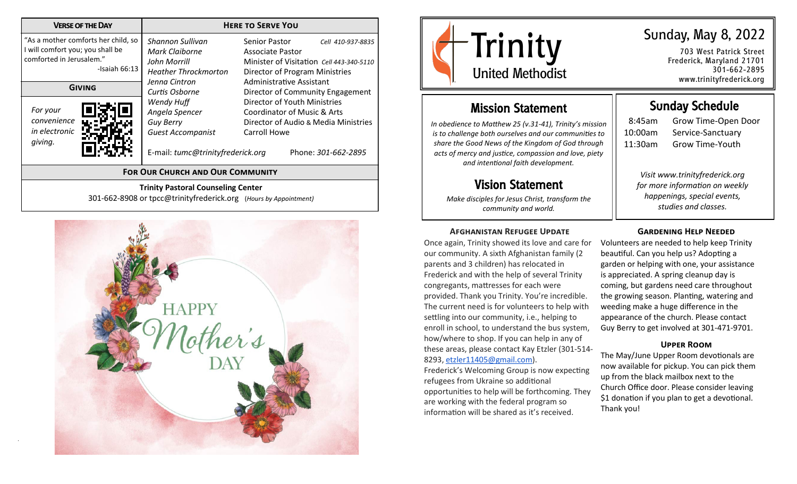| <b>VERSE OF THE DAY</b>                                                                                                | <b>HERE TO SERVE YOU</b>                                                                           |                                                                                                                                                                  |                                                                          |  |
|------------------------------------------------------------------------------------------------------------------------|----------------------------------------------------------------------------------------------------|------------------------------------------------------------------------------------------------------------------------------------------------------------------|--------------------------------------------------------------------------|--|
| "As a mother comforts her child, so<br>I will comfort you; you shall be<br>comforted in Jerusalem."<br>-Isaiah $66:13$ | Shannon Sullivan<br>Mark Claiborne<br>John Morrill<br><b>Heather Throckmorton</b><br>Jenna Cintron | Senior Pastor<br>Cell 410-937-8835<br>Associate Pastor<br>Minister of Visitation Cell 443-340-5110<br>Director of Program Ministries<br>Administrative Assistant |                                                                          |  |
| GIVING<br>For your<br>convenience<br>in electronic<br>giving.                                                          | Curtis Osborne<br>Wendy Huff<br>Angela Spencer<br><b>Guy Berry</b><br><b>Guest Accompanist</b>     | Director of Youth Ministries<br>Coordinator of Music & Arts<br>Carroll Howe                                                                                      | Director of Community Engagement<br>Director of Audio & Media Ministries |  |
| E-mail: tumc@trinityfrederick.org<br>Phone: 301-662-2895<br><b>FOR OUR CHURCH AND OUR COMMUNITY</b>                    |                                                                                                    |                                                                                                                                                                  |                                                                          |  |
| <b>Trinity Pastoral Counseling Center</b><br>301-662-8908 or tpcc@trinityfrederick.org (Hours by Appointment)          |                                                                                                    |                                                                                                                                                                  |                                                                          |  |





Sunday Schedule 8:45am Grow Time-Open Door

*Visit www.trinityfrederick.org for more information on weekly happenings, special events, studies and classes.* 

10:00am Service-Sanctuary 11:30am Grow Time-Youth

703 West Patrick Street Frederick, Maryland 21701 301-662-2895 www.trinityfrederick.org

## Mission Statement

*In obedience to Matthew 25 (v.31-41), Trinity's mission is to challenge both ourselves and our communities to share the Good News of the Kingdom of God through acts of mercy and justice, compassion and love, piety and intentional faith development.*

# Vision Statement

*Make disciples for Jesus Christ, transform the community and world.*

#### **Afghanistan Refugee Update**

Once again, Trinity showed its love and care for our community. A sixth Afghanistan family (2 parents and 3 children) has relocated in Frederick and with the help of several Trinity congregants, mattresses for each were provided. Thank you Trinity. You're incredible. The current need is for volunteers to help with settling into our community, i.e., helping to enroll in school, to understand the bus system, how/where to shop. If you can help in any of these areas, please contact Kay Etzler (301-514- 8293, [etzler11405@gmail.com\).](mailto:etzler11405@gmail.com)

Frederick's Welcoming Group is now expecting refugees from Ukraine so additional opportunities to help will be forthcoming. They are working with the federal program so information will be shared as it's received.

## **Gardening Help Needed**

Volunteers are needed to help keep Trinity beautiful. Can you help us? Adopting a garden or helping with one, your assistance is appreciated. A spring cleanup day is coming, but gardens need care throughout the growing season. Planting, watering and weeding make a huge difference in the appearance of the church. Please contact Guy Berry to get involved at 301-471-9701.

#### **Upper Room**

The May/June Upper Room devotionals are now available for pickup. You can pick them up from the black mailbox next to the Church Office door. Please consider leaving \$1 donation if you plan to get a devotional. Thank you!